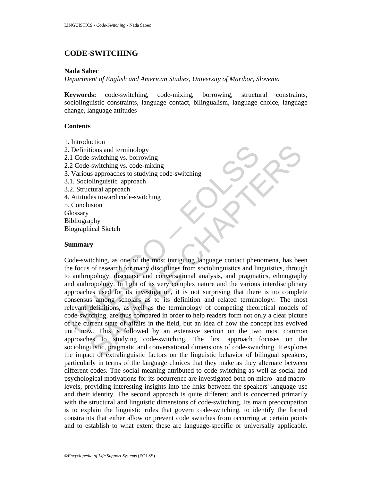# **CODE-SWITCHING**

### **Nada Sabec**

*Department of English and American Studies, University of Maribor, Slovenia* 

**Keywords:** code-switching, code-mixing, borrowing, structural constraints, sociolinguistic constraints, language contact, bilingualism, language choice, language change, language attitudes

# **Contents**

- 1. Introduction
- 2. Definitions and terminology 2.1 Code-switching vs. borrowing 2.2 Code-switching vs. code-mixing 3. Various approaches to studying code-switching 3.1. Sociolinguistic approach 3.2. Structural approach 4. Attitudes toward code-switching 5. Conclusion **Glossary** Bibliography Biographical Sketch

# **Summary**

Definitions and terminology<br>
1 Code-switching vs. borrowing<br>
2 Code-switching vs. code-mixing<br>
2 Code-switching vs. code-mixing<br>
1. Sociolinguistic approach<br>
2. Structural approach<br>
2. Structural approach<br>
2. Structural ap Existenting vs. borrowing<br>
itions and terminology<br>
switching vs. cord-mixing<br>
is approaches to studying code-switching<br>
olinguistic approach<br>
clust approach<br>
these toward code-switching<br>
les toward code-switching<br>
also the Code-switching, as one of the most intriguing language contact phenomena, has been the focus of research for many disciplines from sociolinguistics and linguistics, through to anthropology, discourse and conversational analysis, and pragmatics, ethnography and anthropology. In light of its very complex nature and the various interdisciplinary approaches used for its investigation, it is not surprising that there is no complete consensus among scholars as to its definition and related terminology. The most relevant definitions, as well as the terminology of competing theoretical models of code-switching, are thus compared in order to help readers form not only a clear picture of the current state of affairs in the field, but an idea of how the concept has evolved until now. This is followed by an extensive section on the two most common approaches to studying code-switching. The first approach focuses on the sociolinguistic, pragmatic and conversational dimensions of code-switching. It explores the impact of extralinguistic factors on the linguistic behavior of bilingual speakers, particularly in terms of the language choices that they make as they alternate between different codes. The social meaning attributed to code-switching as well as social and psychological motivations for its occurrence are investigated both on micro- and macrolevels, providing interesting insights into the links between the speakers' language use and their identity. The second approach is quite different and is concerned primarily with the structural and linguistic dimensions of code-switching. Its main preoccupation is to explain the linguistic rules that govern code-switching, to identify the formal constraints that either allow or prevent code switches from occurring at certain points and to establish to what extent these are language-specific or universally applicable.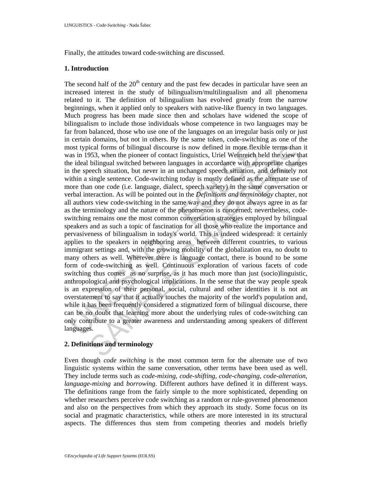Finally, the attitudes toward code-switching are discussed.

### **1. Introduction**

nost typical forms of bilingual discourse is now defined in more flex<br>as in 1953, when the pioneer of contact linguistics, Uriel Weinreich h<br>is in 1953, when the pioneer of contact linguistics, Uriel Weinreich h<br>as in 1953 ical forms of bilingual discourse is now defined in more flexible terms than b535, when the pioneer of contact linguistics, Uricl Weincrich held the view that bilingual switched between languages in accordance with appropr The second half of the  $20<sup>th</sup>$  century and the past few decades in particular have seen an increased interest in the study of bilingualism/multilingualism and all phenomena related to it. The definition of bilingualism has evolved greatly from the narrow beginnings, when it applied only to speakers with native-like fluency in two languages. Much progress has been made since then and scholars have widened the scope of bilingualism to include those individuals whose competence in two languages may be far from balanced, those who use one of the languages on an irregular basis only or just in certain domains, but not in others. By the same token, code-switching as one of the most typical forms of bilingual discourse is now defined in more flexible terms than it was in 1953, when the pioneer of contact linguistics, Uriel Weinreich held the view that the ideal bilingual switched between languages in accordance with appropriate changes in the speech situation, but never in an unchanged speech situation, and definitely not within a single sentence. Code-switching today is mostly defined as the alternate use of more than one code (i.e. language, dialect, speech variety) in the same conversation or verbal interaction. As will be pointed out in the *Definitions and terminology* chapter, not all authors view code-switching in the same way and they do not always agree in as far as the terminology and the nature of the phenomenon is concerned; nevertheless, codeswitching remains one the most common conversation strategies employed by bilingual speakers and as such a topic of fascination for all those who realize the importance and pervasiveness of bilingualism in today's world. This is indeed widespread: it certainly applies to the speakers in neighboring areas between different countries, to various immigrant settings and, with the growing mobility of the globalization era, no doubt to many others as well. Wherever there is language contact, there is bound to be some form of code-switching as well. Continuous exploration of various facets of code switching thus comes as no surprise, as it has much more than just (socio)linguistic, anthropological and psychological implications. In the sense that the way people speak is an expression of their personal, social, cultural and other identities it is not an overstatement to say that it actually touches the majority of the world's population and, while it has been frequently considered a stigmatized form of bilingual discourse, there can be no doubt that learning more about the underlying rules of code-switching can only contribute to a greater awareness and understanding among speakers of different languages.

# **2. Definitions and terminology**

Even though *code switching* is the most common term for the alternate use of two linguistic systems within the same conversation, other terms have been used as well. They include terms such as *code-mixing, code-shifting, code-changing, code-alteration, language-mixing* and *borrowing*. Different authors have defined it in different ways. The definitions range from the fairly simple to the more sophisticated, depending on whether researchers perceive code switching as a random or rule-governed phenomenon and also on the perspectives from which they approach its study. Some focus on its social and pragmatic characteristics, while others are more interested in its structural aspects. The differences thus stem from competing theories and models briefly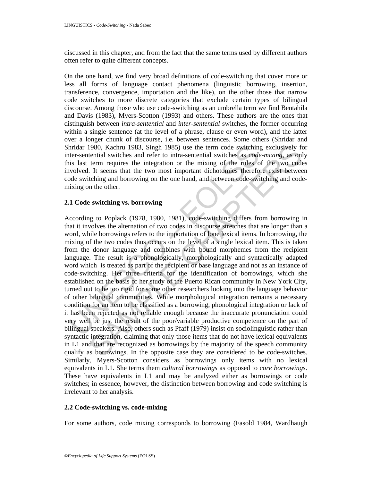discussed in this chapter, and from the fact that the same terms used by different authors often refer to quite different concepts.

On the one hand, we find very broad definitions of code-switching that cover more or less all forms of language contact phenomena (linguistic borrowing, insertion, transference, convergence, importation and the like), on the other those that narrow code switches to more discrete categories that exclude certain types of bilingual discourse. Among those who use code-switching as an umbrella term we find Bentahila and Davis (1983), Myers-Scotton (1993) and others. These authors are the ones that distinguish between *intra-sentential* and *inter-sentential* switches, the former occurring within a single sentence (at the level of a phrase, clause or even word), and the latter over a longer chunk of discourse, i.e. between sentences. Some others (Shridar and Shridar 1980, Kachru 1983, Singh 1985) use the term code switching exclusively for inter-sentential switches and refer to intra-sentential switches as *code-mixing*, as only this last term requires the integration or the mixing of the rules of the two codes involved. It seems that the two most important dichotomies therefore exist between code switching and borrowing on the one hand, and between code-switching and codemixing on the other.

# **2.1 Code-switching vs. borrowing**

hridar 1980, Kachru 1983, Singh 1985) use the term code switching<br>the distre-sentential switches and refer to intra-sentential switches as *code*<br>is last term requires the integration or the mixing of the rules o<br>involved. 1980, Kachru 1983, Singh 1985) use the term code switching exclusively fe<br>chential switches and refer to intra-schential switches as *code-mixing*, as on<br>term requires the integration or the mixing of the rules of the two According to Poplack (1978, 1980, 1981), code-switching differs from borrowing in that it involves the alternation of two codes in discourse stretches that are longer than a word, while borrowings refers to the importation of lone lexical items. In borrowing, the mixing of the two codes thus occurs on the level of a single lexical item. This is taken from the donor language and combines with bound morphemes from the recipient language. The result is a phonologically, morphologically and syntactically adapted word which is treated as part of the recipient or base language and not as an instance of code-switching. Her three criteria for the identification of borrowings, which she established on the basis of her study of the Puerto Rican community in New York City, turned out to be too rigid for some other researchers looking into the language behavior of other bilingual communities. While morphological integration remains a necessary condition for an item to be classified as a borrowing, phonological integration or lack of it has been rejected as not reliable enough because the inaccurate pronunciation could very well be just the result of the poor/variable productive competence on the part of bilingual speakers. Also, others such as Pfaff (1979) insist on sociolinguistic rather than syntactic integration, claiming that only those items that do not have lexical equivalents in L1 and that are recognized as borrowings by the majority of the speech community qualify as borrowings. In the opposite case they are considered to be code-switches. Similarly, Myers-Scotton considers as borrowings only items with no lexical equivalents in L1. She terms them *cultural borrowings* as opposed to *core borrowings*. These have equivalents in L1 and may be analyzed either as borrowings or code switches; in essence, however, the distinction between borrowing and code switching is irrelevant to her analysis.

# **2.2 Code-switching vs. code-mixing**

For some authors, code mixing corresponds to borrowing (Fasold 1984, Wardhaugh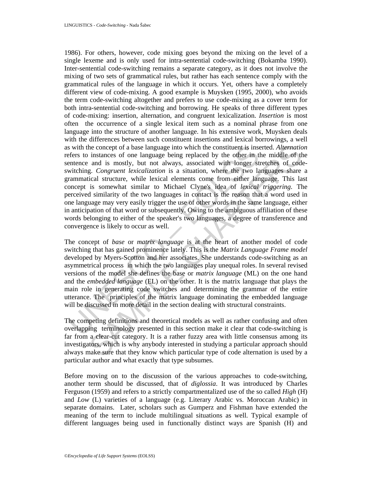is with the concept of a base language into which the constituent is insefers to instances of one language being replaced by the other in the<br>enterce and is mostly, but not always, associated with longer structining. Congr the concept of a base language into which the constituent is inserted. Alternation instances of one language being replaced by the other in the middle of the middle of the middle of the size, Congruent lexicalization is a 1986). For others, however, code mixing goes beyond the mixing on the level of a single lexeme and is only used for intra-sentential code-switching (Bokamba 1990). Inter-sentential code-switching remains a separate category, as it does not involve the mixing of two sets of grammatical rules, but rather has each sentence comply with the grammatical rules of the language in which it occurs. Yet, others have a completely different view of code-mixing. A good example is Muysken (1995, 2000), who avoids the term code-switching altogether and prefers to use code-mixing as a cover term for both intra-sentential code-switching and borrowing. He speaks of three different types of code-mixing: insertion, alternation, and congruent lexicalization. *Insertion* is most often the occurrence of a single lexical item such as a nominal phrase from one language into the structure of another language. In his extensive work, Muysken deals with the differences between such constituent insertions and lexical borrowings, a well as with the concept of a base language into which the constituent is inserted. *Alternation* refers to instances of one language being replaced by the other in the middle of the sentence and is mostly, but not always, associated with longer stretches of codeswitching. *Congruent lexicalization* is a situation, where the two languages share a grammatical structure, while lexical elements come from either language. This last concept is somewhat similar to Michael Clyne's idea of *lexical triggering*. The perceived similarity of the two languages in contact is the reason that a word used in one language may very easily trigger the use of other words in the same language, either in anticipation of that word or subsequently. Owing to the ambiguous affiliation of these words belonging to either of the speaker's two languages, a degree of transference and convergence is likely to occur as well.

The concept of *base* or *matrix language* is at the heart of another model of code switching that has gained prominence lately. This is the *Matrix Language Frame model*  developed by Myers-Scotton and her associates. She understands code-switching as an asymmetrical process in which the two languages play unequal roles. In several revised versions of the model she defines the base or *matrix language* (ML) on the one hand and the *embedded language* (EL) on the other. It is the matrix language that plays the main role in generating code switches and determining the grammar of the entire utterance. The principles of the matrix language dominating the embedded language will be discussed in more detail in the section dealing with structural constraints.

The competing definitions and theoretical models as well as rather confusing and often overlapping terminology presented in this section make it clear that code-switching is far from a clear-cut category. It is a rather fuzzy area with little consensus among its investigators, which is why anybody interested in studying a particular approach should always make sure that they know which particular type of code alternation is used by a particular author and what exactly that type subsumes.

Before moving on to the discussion of the various approaches to code-switching, another term should be discussed, that of *diglossia*. It was introduced by Charles Ferguson (1959) and refers to a strictly compartmentalized use of the so called *High* (H) and *Low* (L) varieties of a language (e.g. Literary Arabic vs. Moroccan Arabic) in separate domains. Later, scholars such as Gumperz and Fishman have extended the meaning of the term to include multilingual situations as well. Typical example of different languages being used in functionally distinct ways are Spanish (H) and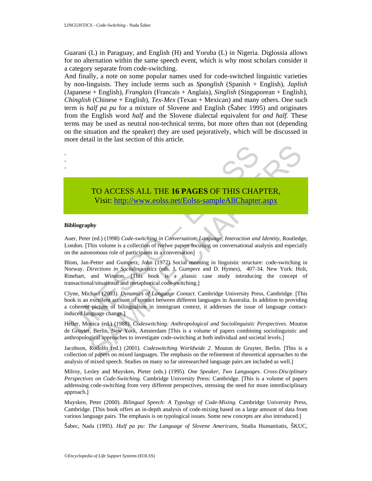Guarani (L) in Paraguay, and English (H) and Yoruba (L) in Nigeria. Diglossia allows for no alternation within the same speech event, which is why most scholars consider it a category separate from code-switching.

And finally, a note on some popular names used for code-switched linguistic varieties by non-linguists. They include terms such as *Spanglish* (Spanish + English), *Japlish* (Japanese + English), *Franglais* (Francais + Anglais), *Singlish* (Singaporean + English), *Chinglish* (Chinese + English), *Tex-Mex* (Texan + Mexican) and many others. One such term is *half pa pu* for a mixture of Slovene and English (Šabec 1995) and originates from the English word *half* and the Slovene dialectal equivalent for *and half.* These terms may be used as neutral non-technical terms, but more often than not (depending on the situation and the speaker) they are used pejoratively, which will be discussed in more detail in the last section of this article.



#### **Bibliography**

- - -

Auer, Peter (ed.) (1998) *Code-switching in Conversation: Language, Interaction and Identity*, Routledge, London. [This volume is a collection of tvelwe papers focusing on conversational analysis and especially on the autonomous role of participants in a conversation]

TO ACCESS ALL THE 16 PAGES OF THIS CHA<br>Visit: http://www.colss.net/Eolss-sampleAllChapter<br>ibliography<br>tue, Peter (ed.) (1998) *Code-switching in Conversation: Language, Interaction and*<br>ibliography<br>interaction of technolog **TO ACCESS ALL THE 16 PAGES OF THIS CH[APTE](https://www.eolss.net/ebooklib/sc_cart.aspx?File=E6-91-06-08)R,**<br>
Visit: http://www.colss.net/Eolss-sampleAllChapter.aspx<br>
phy<br>
the volume is a collection of tvelwe papers focusing on conversation and *Identity*, Routledg<br>
Elhis volume is a Blom, Jan-Petter and Gumperz, John (1972) Social meaning in linguistic structure: code-switching in Norway. *Directions in Sociolinguistics* (eds. J. Gumperz and D. Hymes), 407-34. New York: Holt, Rinehart, and Winston. [This book is a classic case study introducing the concept of transactional/situational and metaphorical code-switching.]

Clyne, Michael (2003). *Dynamics of Language Contact*. Cambridge University Press, Cambridge. [This book is an excellent account of contact between different languages in Australia. In addition to providing a coherent picture of bilingualism in immigrant context, it addresses the issue of language contactinduced language change.]

Heller, Monica (ed.) (1988). *Codeswitching: Anthropological and Sociolinguistic Perspectives*. Mouton de Gruyter, Berlin, New York, Amsterdam [This is a volume of papers combining sociolinguistic and anthropological approaches to investigate code-switching at both individual and societal levels.]

Jacobson, Rodolfo (ed.) (2001). *Codeswitching Worldwide 2*. Mouton de Gruyter, Berlin. [This is a collection of papers on mixed languages. The emphasis on the refinement of theoretical approaches to the analysis of mixed speech. Studies on many so far unresearched language pairs are included as well.]

Milroy, Lesley and Muysken, Pieter (eds.) (1995). *One Speaker, Two Languages. Cross-Disciplinary Perspectives on Code-Switching.* Cambridge University Press: Cambridge. [This is a volume of papers addressing code-switching from very different perspectives, stressing the need for more interdisciplinary approach.]

Muysken, Peter (2000). *Bilingual Speech: A Typology of Code-Mixing*. Cambridge University Press, Cambridge. [This book offers an in-depth analysis of code-mixing based on a large amount of data from various language pairs. The emphasis is on typological issues. Some new concepts are also introduced.]

Šabec, Nada (1995). *Half pa pu: The Language of Slovene Americans*, Studia Humanitatis, ŠKUC,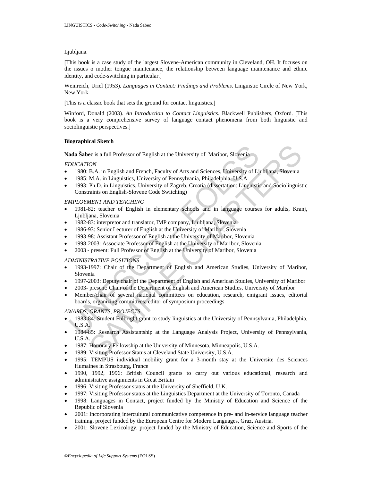### Ljubljana.

[This book is a case study of the largest Slovene-American community in Cleveland, OH. It focuses on the issues o mother tongue maintenance, the relationship between language maintenance and ethnic identity, and code-switching in particular.]

Weinreich, Uriel (1953). *Languages in Contact: Findings and Problems*. Linguistic Circle of New York, New York.

[This is a classic book that sets the ground for contact linguistics.]

Winford, Donald (2003). *An Introduction to Contact Linguistics*. Blackwell Publishers, Oxford. [This book is a very comprehensive survey of language contact phenomena from both linguistic and sociolinguistic perspectives.]

### **Biographical Sketch**

**Nada Šabec** is a full Professor of English at the University of Maribor, Slovenia

### *EDUCATION*

- 1980: B.A. in English and French, Faculty of Arts and Sciences, University of Ljubljana, Slovenia
- 1985: M.A. in Linguistics, University of Pennsylvania, Philadelphia, U.S.A
- 1993: Ph.D. in Linguistics, University of Zagreb, Croatia (dissertation: Linguistic and Sociolinguistic Constraints on English-Slovene Code Switching)

### *EMPLOYMENT AND TEACHING*

- 1981-82: teacher of English in elementary schools and in language courses for adults, Kranj, Ljubljana, Slovenia
- 1982-83: interpretor and translator, IMP company, Ljubljana, Slovenia
- 1986-93: Senior Lecturer of English at the University of Maribor, Slovenia
- 1993-98: Assistant Professor of English at the University of Maribor, Slovenia
- 1998-2003: Associate Professor of English at the University of Maribor, Slovenia
- 2003 present: Full Professor of English at the University of Maribor, Slovenia

### *ADMINISTRATIVE POSITIONS*

- 1993-1997: Chair of the Department of English and American Studies, University of Maribor, Slovenia
- 1997-2003: Deputy chair of the Department of English and American Studies, University of Maribor
- 2003- present: Chair of the Department of English and American Studies, University of Maribor
- **ada Šabec** is a full Professor of English at the University of Maribor, Slovenia<br>
DUCATION<br>
1980: B.A. in English and French, Faculty of Arts and Sciences, University of Li<br>
1980: B.A. in Linguistics, University of Pennsy **Example 12**<br> **Example 10**<br> **Example 10**<br> **Example 10**<br> **Example 10**<br> **EXA. in Linguistics, University of Arts and Sciences, University of Ljubljana, Slovenia<br>
M.A. in Linguistics, University of Pensylvania, Philadelphia,** • Member/chair of several national committees on education, research, emigrant issues, editorial boards, organizing committees; editor of symposium proceedings

### *AWARDS, GRANTS, PROJECTS*

- 1983-84: Student Fulbright grant to study linguistics at the University of Pennsylvania, Philadelphia, U.S.A.
- 1984-85: Research Assistantship at the Language Analysis Project, University of Pennsylvania, U.S.A.
- 1987: Honorary Fellowship at the University of Minnesota, Minneapolis, U.S.A.
- 1989: Visiting Professor Status at Cleveland State University, U.S.A.
- 1995: TEMPUS individual mobility grant for a 3-month stay at the Universite des Sciences Humaines in Strasbourg, France
- 1990, 1992, 1996: British Council grants to carry out various educational, research and administrative assignments in Great Britain
- 1996: Visiting Professor status at the University of Sheffield, U.K.
- 1997: Visiting Professor status at the Linguistics Department at the University of Toronto, Canada
- 1998: Languages in Contact, project funded by the Ministry of Education and Science of the Republic of Slovenia
- 2001: Incorporating intercultural communicative competence in pre- and in-service language teacher training, project funded by the European Centre for Modern Languages, Graz, Austria.
- 2001: Slovene Lexicology, project funded by the Ministry of Education, Science and Sports of the